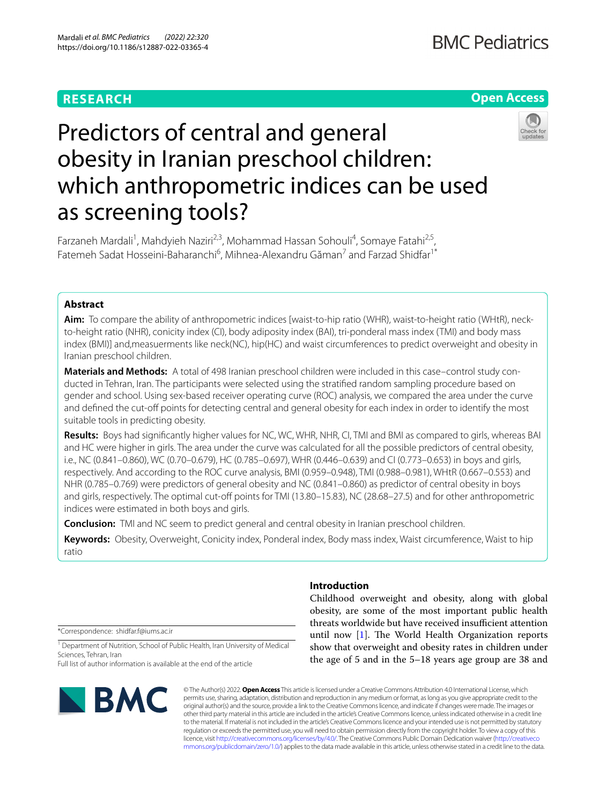# **RESEARCH**

# **Open Access**



# Predictors of central and general obesity in Iranian preschool children: which anthropometric indices can be used as screening tools?

Farzaneh Mardali<sup>1</sup>, Mahdyieh Naziri<sup>2,3</sup>, Mohammad Hassan Sohouli<sup>4</sup>, Somaye Fatahi<sup>2,5</sup>, Fatemeh Sadat Hosseini-Baharanchi<sup>6</sup>, Mihnea-Alexandru Găman<sup>7</sup> and Farzad Shidfar<sup>1\*</sup>

# **Abstract**

**Aim:** To compare the ability of anthropometric indices [waist-to-hip ratio (WHR), waist-to-height ratio (WHtR), neckto-height ratio (NHR), conicity index (CI), body adiposity index (BAI), tri-ponderal mass index (TMI) and body mass index (BMI)] and,measuerments like neck(NC), hip(HC) and waist circumferences to predict overweight and obesity in Iranian preschool children.

**Materials and Methods:** A total of 498 Iranian preschool children were included in this case–control study conducted in Tehran, Iran. The participants were selected using the stratifed random sampling procedure based on gender and school. Using sex-based receiver operating curve (ROC) analysis, we compared the area under the curve and defined the cut-off points for detecting central and general obesity for each index in order to identify the most suitable tools in predicting obesity.

**Results:** Boys had signifcantly higher values for NC, WC, WHR, NHR, CI, TMI and BMI as compared to girls, whereas BAI and HC were higher in girls. The area under the curve was calculated for all the possible predictors of central obesity, i.e., NC (0.841–0.860), WC (0.70–0.679), HC (0.785–0.697), WHR (0.446–0.639) and CI (0.773–0.653) in boys and girls, respectively. And according to the ROC curve analysis, BMI (0.959–0.948), TMI (0.988–0.981), WHtR (0.667–0.553) and NHR (0.785–0.769) were predictors of general obesity and NC (0.841–0.860) as predictor of central obesity in boys and girls, respectively. The optimal cut-off points for TMI (13.80–15.83), NC (28.68–27.5) and for other anthropometric indices were estimated in both boys and girls.

**Conclusion:** TMI and NC seem to predict general and central obesity in Iranian preschool children.

**Keywords:** Obesity, Overweight, Conicity index, Ponderal index, Body mass index, Waist circumference, Waist to hip ratio

\*Correspondence: shidfar.f@iums.ac.ir

<sup>1</sup> Department of Nutrition, School of Public Health, Iran University of Medical Sciences, Tehran, Iran

Full list of author information is available at the end of the article



## **Introduction**

Childhood overweight and obesity, along with global obesity, are some of the most important public health threats worldwide but have received insufficient attention until now  $[1]$  $[1]$ . The World Health Organization reports show that overweight and obesity rates in children under the age of 5 and in the 5–18 years age group are 38 and

© The Author(s) 2022. **Open Access** This article is licensed under a Creative Commons Attribution 4.0 International License, which permits use, sharing, adaptation, distribution and reproduction in any medium or format, as long as you give appropriate credit to the original author(s) and the source, provide a link to the Creative Commons licence, and indicate if changes were made. The images or other third party material in this article are included in the article's Creative Commons licence, unless indicated otherwise in a credit line to the material. If material is not included in the article's Creative Commons licence and your intended use is not permitted by statutory regulation or exceeds the permitted use, you will need to obtain permission directly from the copyright holder. To view a copy of this licence, visit [http://creativecommons.org/licenses/by/4.0/.](http://creativecommons.org/licenses/by/4.0/) The Creative Commons Public Domain Dedication waiver ([http://creativeco](http://creativecommons.org/publicdomain/zero/1.0/) [mmons.org/publicdomain/zero/1.0/](http://creativecommons.org/publicdomain/zero/1.0/)) applies to the data made available in this article, unless otherwise stated in a credit line to the data.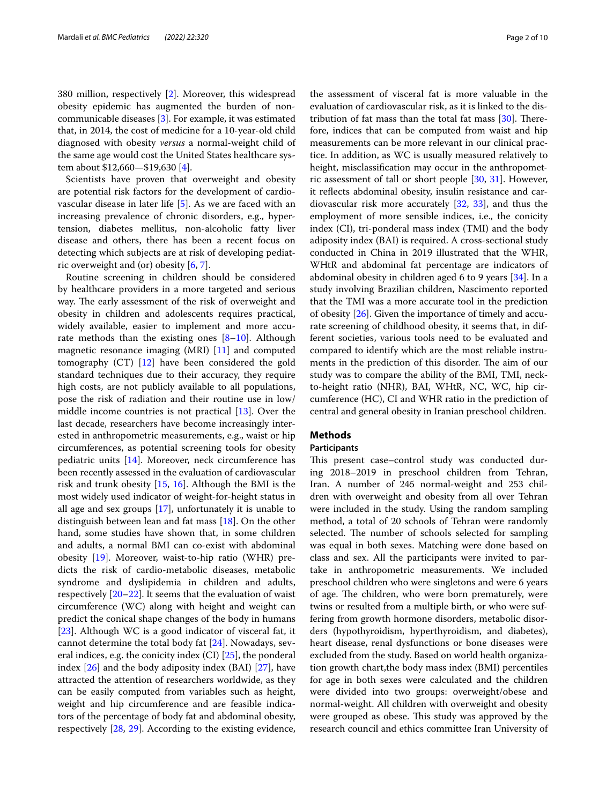380 million, respectively [[2](#page-7-1)]. Moreover, this widespread obesity epidemic has augmented the burden of noncommunicable diseases [[3\]](#page-7-2). For example, it was estimated that, in 2014, the cost of medicine for a 10-year-old child diagnosed with obesity *versus* a normal-weight child of the same age would cost the United States healthcare system about \$12,660—\$19,630 [[4\]](#page-7-3).

Scientists have proven that overweight and obesity are potential risk factors for the development of cardiovascular disease in later life [\[5](#page-7-4)]. As we are faced with an increasing prevalence of chronic disorders, e.g., hypertension, diabetes mellitus, non-alcoholic fatty liver disease and others, there has been a recent focus on detecting which subjects are at risk of developing pediatric overweight and (or) obesity [\[6](#page-7-5), [7\]](#page-7-6).

Routine screening in children should be considered by healthcare providers in a more targeted and serious way. The early assessment of the risk of overweight and obesity in children and adolescents requires practical, widely available, easier to implement and more accurate methods than the existing ones  $[8-10]$  $[8-10]$  $[8-10]$ . Although magnetic resonance imaging (MRI) [\[11\]](#page-7-9) and computed tomography (CT) [\[12](#page-8-0)] have been considered the gold standard techniques due to their accuracy, they require high costs, are not publicly available to all populations, pose the risk of radiation and their routine use in low/ middle income countries is not practical [\[13](#page-8-1)]. Over the last decade, researchers have become increasingly interested in anthropometric measurements, e.g., waist or hip circumferences, as potential screening tools for obesity pediatric units [\[14](#page-8-2)]. Moreover, neck circumference has been recently assessed in the evaluation of cardiovascular risk and trunk obesity [[15,](#page-8-3) [16\]](#page-8-4). Although the BMI is the most widely used indicator of weight-for-height status in all age and sex groups [[17](#page-8-5)], unfortunately it is unable to distinguish between lean and fat mass [[18\]](#page-8-6). On the other hand, some studies have shown that, in some children and adults, a normal BMI can co-exist with abdominal obesity [[19](#page-8-7)]. Moreover, waist-to-hip ratio (WHR) predicts the risk of cardio-metabolic diseases, metabolic syndrome and dyslipidemia in children and adults, respectively  $[20-22]$  $[20-22]$  $[20-22]$ . It seems that the evaluation of waist circumference (WC) along with height and weight can predict the conical shape changes of the body in humans [[23\]](#page-8-10). Although WC is a good indicator of visceral fat, it cannot determine the total body fat [[24\]](#page-8-11). Nowadays, several indices, e.g. the conicity index  $(Cl)$  [\[25\]](#page-8-12), the ponderal index [\[26](#page-8-13)] and the body adiposity index (BAI) [[27](#page-8-14)], have attracted the attention of researchers worldwide, as they can be easily computed from variables such as height, weight and hip circumference and are feasible indicators of the percentage of body fat and abdominal obesity, respectively [\[28](#page-8-15), [29](#page-8-16)]. According to the existing evidence,

the assessment of visceral fat is more valuable in the evaluation of cardiovascular risk, as it is linked to the distribution of fat mass than the total fat mass  $[30]$ . Therefore, indices that can be computed from waist and hip measurements can be more relevant in our clinical practice. In addition, as WC is usually measured relatively to height, misclassification may occur in the anthropometric assessment of tall or short people [\[30](#page-8-17), [31](#page-8-18)]. However, it refects abdominal obesity, insulin resistance and cardiovascular risk more accurately [\[32,](#page-8-19) [33](#page-8-20)], and thus the employment of more sensible indices, i.e., the conicity index (CI), tri-ponderal mass index (TMI) and the body adiposity index (BAI) is required. A cross-sectional study conducted in China in 2019 illustrated that the WHR, WHtR and abdominal fat percentage are indicators of abdominal obesity in children aged 6 to 9 years [[34\]](#page-8-21). In a study involving Brazilian children, Nascimento reported that the TMI was a more accurate tool in the prediction of obesity [\[26\]](#page-8-13). Given the importance of timely and accurate screening of childhood obesity, it seems that, in different societies, various tools need to be evaluated and compared to identify which are the most reliable instruments in the prediction of this disorder. The aim of our study was to compare the ability of the BMI, TMI, neckto-height ratio (NHR), BAI, WHtR, NC, WC, hip circumference (HC), CI and WHR ratio in the prediction of central and general obesity in Iranian preschool children.

## **Methods**

## **Participants**

This present case–control study was conducted during 2018–2019 in preschool children from Tehran, Iran. A number of 245 normal-weight and 253 children with overweight and obesity from all over Tehran were included in the study. Using the random sampling method, a total of 20 schools of Tehran were randomly selected. The number of schools selected for sampling was equal in both sexes. Matching were done based on class and sex. All the participants were invited to partake in anthropometric measurements. We included preschool children who were singletons and were 6 years of age. The children, who were born prematurely, were twins or resulted from a multiple birth, or who were suffering from growth hormone disorders, metabolic disorders (hypothyroidism, hyperthyroidism, and diabetes), heart disease, renal dysfunctions or bone diseases were excluded from the study. Based on world health organization growth chart,the body mass index (BMI) percentiles for age in both sexes were calculated and the children were divided into two groups: overweight/obese and normal-weight. All children with overweight and obesity were grouped as obese. This study was approved by the research council and ethics committee Iran University of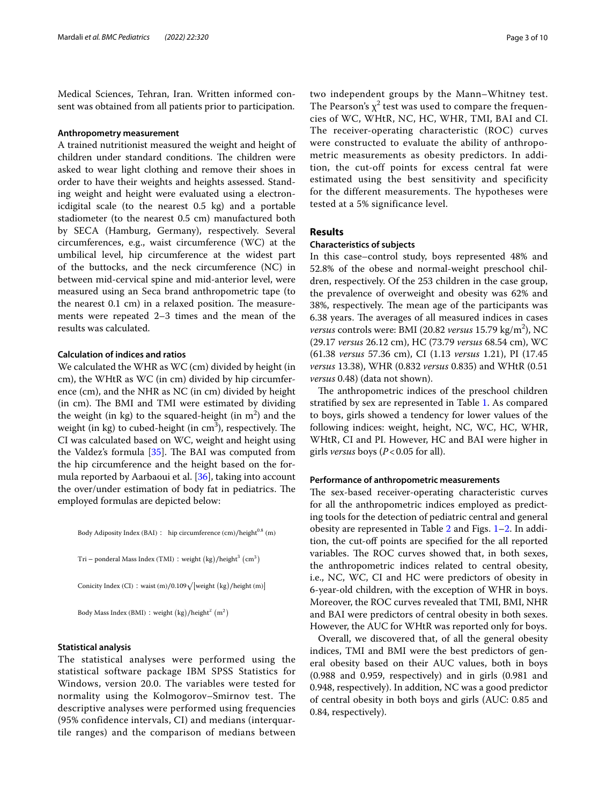Medical Sciences, Tehran, Iran. Written informed consent was obtained from all patients prior to participation.

## **Anthropometry measurement**

A trained nutritionist measured the weight and height of children under standard conditions. The children were asked to wear light clothing and remove their shoes in order to have their weights and heights assessed. Standing weight and height were evaluated using a electronicdigital scale (to the nearest 0.5 kg) and a portable stadiometer (to the nearest 0.5 cm) manufactured both by SECA (Hamburg, Germany), respectively. Several circumferences, e.g., waist circumference (WC) at the umbilical level, hip circumference at the widest part of the buttocks, and the neck circumference (NC) in between mid-cervical spine and mid-anterior level, were measured using an Seca brand anthropometric tape (to the nearest  $0.1 \text{ cm}$  in a relaxed position. The measurements were repeated 2–3 times and the mean of the results was calculated.

## **Calculation of indices and ratios**

We calculated the WHR as WC (cm) divided by height (in cm), the WHtR as WC (in cm) divided by hip circumference (cm), and the NHR as NC (in cm) divided by height (in cm). The BMI and TMI were estimated by dividing the weight (in kg) to the squared-height (in  $m^2$ ) and the weight (in kg) to cubed-height (in  $\mathrm{cm}^3$ ), respectively. The CI was calculated based on WC, weight and height using the Valdez's formula  $[35]$  $[35]$ . The BAI was computed from the hip circumference and the height based on the formula reported by Aarbaoui et al. [\[36](#page-8-23)], taking into account the over/under estimation of body fat in pediatrics. The employed formulas are depicted below:

Body Adiposity Index (BAI) ∶ hip circumference (cm)/height<sup>0.8</sup> (m)

Tri – ponderal Mass Index (TMI) : weight  $\left(\frac{kg}{\text{height}^3} \right)$  (cm<sup>3</sup>)

Conicity Index (CI) : waist (m)/0.109√ weight  $(kg)$ /height (m)

Body Mass Index (BMI) : weight  $(kg)/height<sup>2</sup> (m<sup>2</sup>)$ 

## **Statistical analysis**

The statistical analyses were performed using the statistical software package IBM SPSS Statistics for Windows, version 20.0. The variables were tested for normality using the Kolmogorov–Smirnov test. The descriptive analyses were performed using frequencies (95% confidence intervals, CI) and medians (interquartile ranges) and the comparison of medians between two independent groups by the Mann–Whitney test. The Pearson's  $\chi^2$  test was used to compare the frequencies of WC, WHtR, NC, HC, WHR, TMI, BAI and CI. The receiver-operating characteristic (ROC) curves were constructed to evaluate the ability of anthropometric measurements as obesity predictors. In addition, the cut-off points for excess central fat were estimated using the best sensitivity and specificity for the different measurements. The hypotheses were tested at a 5% significance level.

## **Results**

## **Characteristics of subjects**

In this case–control study, boys represented 48% and 52.8% of the obese and normal-weight preschool children, respectively. Of the 253 children in the case group, the prevalence of overweight and obesity was 62% and 38%, respectively. The mean age of the participants was 6.38 years. The averages of all measured indices in cases *versus* controls were: BMI (20.82 *versus* 15.79 kg/m<sup>2</sup>), NC (29.17 *versus* 26.12 cm), HC (73.79 *versus* 68.54 cm), WC (61.38 *versus* 57.36 cm), CI (1.13 *versus* 1.21), PI (17.45 *versus* 13.38), WHR (0.832 *versus* 0.835) and WHtR (0.51 *versus* 0.48) (data not shown).

The anthropometric indices of the preschool children stratifed by sex are represented in Table [1](#page-3-0). As compared to boys, girls showed a tendency for lower values of the following indices: weight, height, NC, WC, HC, WHR, WHtR, CI and PI. However, HC and BAI were higher in girls *versus* boys (*P*<0.05 for all).

## **Performance of anthropometric measurements**

The sex-based receiver-operating characteristic curves for all the anthropometric indices employed as predicting tools for the detection of pediatric central and general obesity are represented in Table [2](#page-3-1) and Figs. [1](#page-4-0)[–2](#page-5-0). In addition, the cut-off points are specified for the all reported variables. The ROC curves showed that, in both sexes, the anthropometric indices related to central obesity, i.e., NC, WC, CI and HC were predictors of obesity in 6-year-old children, with the exception of WHR in boys. Moreover, the ROC curves revealed that TMI, BMI, NHR and BAI were predictors of central obesity in both sexes. However, the AUC for WHtR was reported only for boys.

Overall, we discovered that, of all the general obesity indices, TMI and BMI were the best predictors of general obesity based on their AUC values, both in boys (0.988 and 0.959, respectively) and in girls (0.981 and 0.948, respectively). In addition, NC was a good predictor of central obesity in both boys and girls (AUC: 0.85 and 0.84, respectively).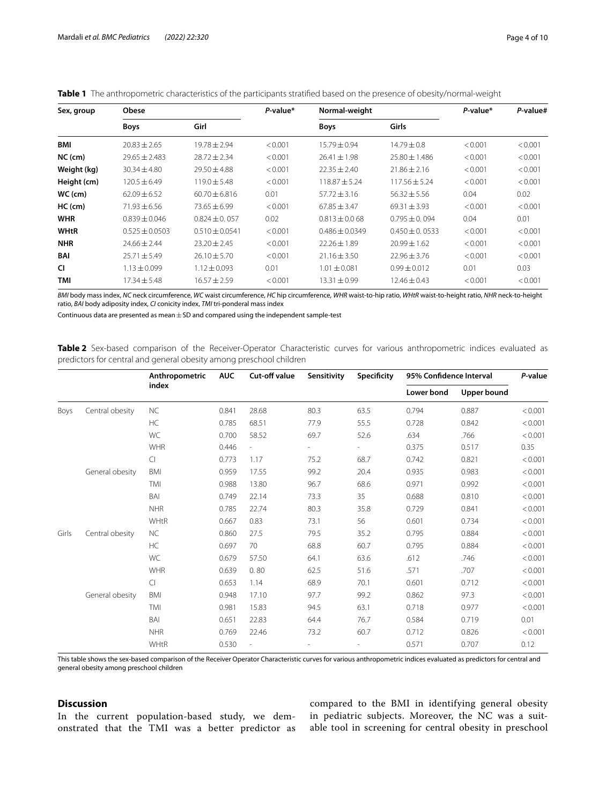| Sex, group  | Obese              |                    | P-value* | Normal-weight      |                    | P-value* | P-value# |
|-------------|--------------------|--------------------|----------|--------------------|--------------------|----------|----------|
|             | <b>Boys</b>        | Girl               |          | <b>Boys</b>        | Girls              |          |          |
| BMI         | $20.83 \pm 2.65$   | $19.78 \pm 2.94$   | < 0.001  | $15.79 \pm 0.94$   | $14.79 \pm 0.8$    | < 0.001  | < 0.001  |
| $NC$ (cm)   | $29.65 \pm 2.483$  | $28.72 \pm 2.34$   | < 0.001  | $26.41 \pm 1.98$   | $25.80 \pm 1.486$  | < 0.001  | < 0.001  |
| Weight (kg) | $30.34 \pm 4.80$   | $29.50 \pm 4.88$   | < 0.001  | $22.35 \pm 2.40$   | $21.86 \pm 2.16$   | < 0.001  | < 0.001  |
| Height (cm) | $120.5 \pm 6.49$   | $119.0 \pm 5.48$   | < 0.001  | $118.87 \pm 5.24$  | $117.56 \pm 5.24$  | < 0.001  | < 0.001  |
| $WC$ (cm)   | $62.09 + 6.52$     | $60.70 \pm 6.816$  | 0.01     | $57.72 \pm 3.16$   | $56.32 \pm 5.56$   | 0.04     | 0.02     |
| $HC$ (cm)   | $71.93 \pm 6.56$   | $73.65 \pm 6.99$   | < 0.001  | $67.85 \pm 3.47$   | $69.31 \pm 3.93$   | < 0.001  | < 0.001  |
| <b>WHR</b>  | $0.839 \pm 0.046$  | $0.824 \pm 0.057$  | 0.02     | $0.813 \pm 0.068$  | $0.795 \pm 0.094$  | 0.04     | 0.01     |
| <b>WHtR</b> | $0.525 \pm 0.0503$ | $0.510 \pm 0.0541$ | < 0.001  | $0.486 \pm 0.0349$ | $0.450 \pm 0.0533$ | < 0.001  | < 0.001  |
| <b>NHR</b>  | $24.66 \pm 2.44$   | $23.20 \pm 2.45$   | < 0.001  | $22.26 \pm 1.89$   | $20.99 \pm 1.62$   | < 0.001  | < 0.001  |
| BAI         | $25.71 \pm 5.49$   | $26.10 \pm 5.70$   | < 0.001  | $21.16 \pm 3.50$   | $22.96 \pm 3.76$   | < 0.001  | < 0.001  |
| <b>CI</b>   | $1.13 \pm 0.099$   | $1.12 \pm 0.093$   | 0.01     | $1.01 \pm 0.081$   | $0.99 \pm 0.012$   | 0.01     | 0.03     |
| TMI         | $17.34 \pm 5.48$   | $16.57 \pm 2.59$   | < 0.001  | 13.31±0.99         | $12.46 \pm 0.43$   | < 0.001  | < 0.001  |

<span id="page-3-0"></span>

|  |  | <b>Table 1</b> The anthropometric characteristics of the participants stratified based on the presence of obesity/normal-weight |  |  |  |  |
|--|--|---------------------------------------------------------------------------------------------------------------------------------|--|--|--|--|
|--|--|---------------------------------------------------------------------------------------------------------------------------------|--|--|--|--|

*BMI* body mass index, *NC* neck circumference, *WC* waist circumference, *HC* hip circumference, *WHR* waist-to-hip ratio, *WHtR* waist-to-height ratio, *NHR* neck-to-height ratio, *BAI* body adiposity index, *CI* conicity index, *TMI* tri-ponderal mass index

Continuous data are presented as mean  $\pm$  SD and compared using the independent sample-test

<span id="page-3-1"></span>**Table 2** Sex-based comparison of the Receiver-Operator Characteristic curves for various anthropometric indices evaluated as predictors for central and general obesity among preschool children

|       |                 | Anthropometric<br>index | <b>AUC</b> | Cut-off value            | Sensitivity | Specificity | 95% Confidence Interval |             | P-value |
|-------|-----------------|-------------------------|------------|--------------------------|-------------|-------------|-------------------------|-------------|---------|
|       |                 |                         |            |                          |             |             | Lower bond              | Upper bound |         |
| Boys  | Central obesity | <b>NC</b>               | 0.841      | 28.68                    | 80.3        | 63.5        | 0.794                   | 0.887       | < 0.001 |
|       |                 | <b>HC</b>               | 0.785      | 68.51                    | 77.9        | 55.5        | 0.728                   | 0.842       | < 0.001 |
|       |                 | WC                      | 0.700      | 58.52                    | 69.7        | 52.6        | .634                    | .766        | < 0.001 |
|       |                 | <b>WHR</b>              | 0.446      | i,                       |             |             | 0.375                   | 0.517       | 0.35    |
|       |                 | $\overline{C}$          | 0.773      | 1.17                     | 75.2        | 68.7        | 0.742                   | 0.821       | < 0.001 |
|       | General obesity | <b>BMI</b>              | 0.959      | 17.55                    | 99.2        | 20.4        | 0.935                   | 0.983       | < 0.001 |
|       |                 | TMI                     | 0.988      | 13.80                    | 96.7        | 68.6        | 0.971                   | 0.992       | < 0.001 |
|       |                 | BAI                     | 0.749      | 22.14                    | 73.3        | 35          | 0.688                   | 0.810       | < 0.001 |
|       |                 | <b>NHR</b>              | 0.785      | 22.74                    | 80.3        | 35.8        | 0.729                   | 0.841       | < 0.001 |
|       |                 | WHtR                    | 0.667      | 0.83                     | 73.1        | 56          | 0.601                   | 0.734       | < 0.001 |
| Girls | Central obesity | <b>NC</b>               | 0.860      | 27.5                     | 79.5        | 35.2        | 0.795                   | 0.884       | < 0.001 |
|       |                 | <b>HC</b>               | 0.697      | 70                       | 68.8        | 60.7        | 0.795                   | 0.884       | < 0.001 |
|       |                 | WC                      | 0.679      | 57.50                    | 64.1        | 63.6        | .612                    | .746        | < 0.001 |
|       |                 | <b>WHR</b>              | 0.639      | 0.80                     | 62.5        | 51.6        | .571                    | .707        | < 0.001 |
|       |                 | $\overline{C}$          | 0.653      | 1.14                     | 68.9        | 70.1        | 0.601                   | 0.712       | < 0.001 |
|       | General obesity | <b>BMI</b>              | 0.948      | 17.10                    | 97.7        | 99.2        | 0.862                   | 97.3        | < 0.001 |
|       |                 | TMI                     | 0.981      | 15.83                    | 94.5        | 63.1        | 0.718                   | 0.977       | < 0.001 |
|       |                 | BAI                     | 0.651      | 22.83                    | 64.4        | 76.7        | 0.584                   | 0.719       | 0.01    |
|       |                 | <b>NHR</b>              | 0.769      | 22.46                    | 73.2        | 60.7        | 0.712                   | 0.826       | < 0.001 |
|       |                 | WHtR                    | 0.530      | $\overline{\phantom{0}}$ |             |             | 0.571                   | 0.707       | 0.12    |

This table shows the sex-based comparison of the Receiver Operator Characteristic curves for various anthropometric indices evaluated as predictors for central and general obesity among preschool children

## **Discussion**

In the current population-based study, we demonstrated that the TMI was a better predictor as compared to the BMI in identifying general obesity in pediatric subjects. Moreover, the NC was a suitable tool in screening for central obesity in preschool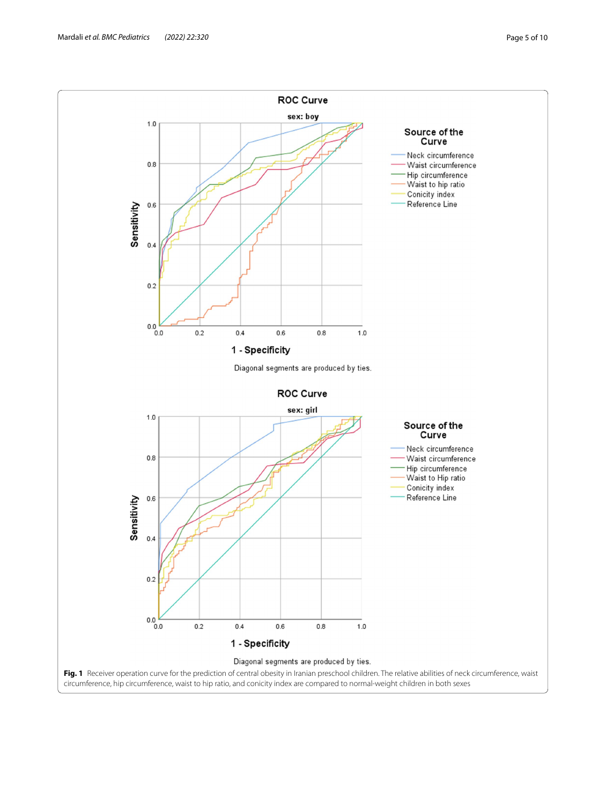<span id="page-4-0"></span>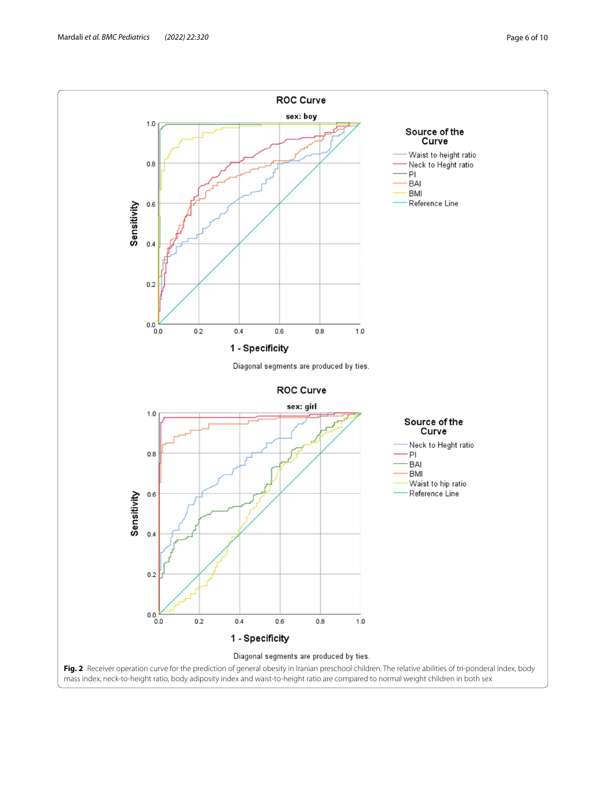<span id="page-5-0"></span>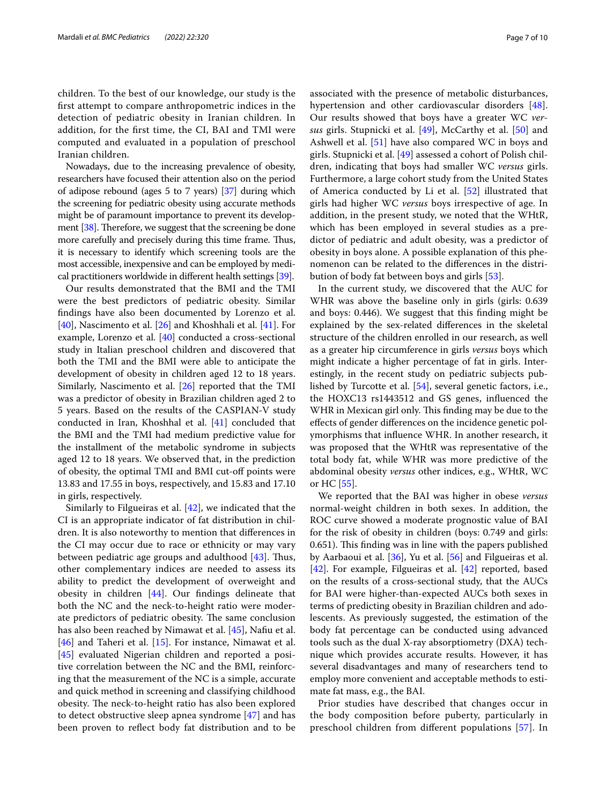children. To the best of our knowledge, our study is the frst attempt to compare anthropometric indices in the detection of pediatric obesity in Iranian children. In addition, for the frst time, the CI, BAI and TMI were computed and evaluated in a population of preschool Iranian children.

Nowadays, due to the increasing prevalence of obesity, researchers have focused their attention also on the period of adipose rebound (ages 5 to 7 years) [\[37\]](#page-8-24) during which the screening for pediatric obesity using accurate methods might be of paramount importance to prevent its development  $[38]$  $[38]$  $[38]$ . Therefore, we suggest that the screening be done more carefully and precisely during this time frame. Thus, it is necessary to identify which screening tools are the most accessible, inexpensive and can be employed by medical practitioners worldwide in diferent health settings [\[39\]](#page-8-26).

Our results demonstrated that the BMI and the TMI were the best predictors of pediatric obesity. Similar fndings have also been documented by Lorenzo et al. [[40\]](#page-8-27), Nascimento et al. [[26](#page-8-13)] and Khoshhali et al. [[41\]](#page-8-28). For example, Lorenzo et al. [\[40](#page-8-27)] conducted a cross-sectional study in Italian preschool children and discovered that both the TMI and the BMI were able to anticipate the development of obesity in children aged 12 to 18 years. Similarly, Nascimento et al. [\[26\]](#page-8-13) reported that the TMI was a predictor of obesity in Brazilian children aged 2 to 5 years. Based on the results of the CASPIAN-V study conducted in Iran, Khoshhal et al. [[41\]](#page-8-28) concluded that the BMI and the TMI had medium predictive value for the installment of the metabolic syndrome in subjects aged 12 to 18 years. We observed that, in the prediction of obesity, the optimal TMI and BMI cut-of points were 13.83 and 17.55 in boys, respectively, and 15.83 and 17.10 in girls, respectively.

Similarly to Filgueiras et al. [\[42](#page-8-29)], we indicated that the CI is an appropriate indicator of fat distribution in children. It is also noteworthy to mention that diferences in the CI may occur due to race or ethnicity or may vary between pediatric age groups and adulthood  $[43]$  $[43]$ . Thus, other complementary indices are needed to assess its ability to predict the development of overweight and obesity in children [[44\]](#page-8-31). Our fndings delineate that both the NC and the neck-to-height ratio were moderate predictors of pediatric obesity. The same conclusion has also been reached by Nimawat et al. [[45](#page-8-32)], Nafu et al. [[46\]](#page-8-33) and Taheri et al. [[15\]](#page-8-3). For instance, Nimawat et al. [[45\]](#page-8-32) evaluated Nigerian children and reported a positive correlation between the NC and the BMI, reinforcing that the measurement of the NC is a simple, accurate and quick method in screening and classifying childhood obesity. The neck-to-height ratio has also been explored to detect obstructive sleep apnea syndrome [[47\]](#page-8-34) and has been proven to refect body fat distribution and to be associated with the presence of metabolic disturbances, hypertension and other cardiovascular disorders [\[48](#page-8-35)]. Our results showed that boys have a greater WC *versus* girls. Stupnicki et al. [[49\]](#page-8-36), McCarthy et al. [[50\]](#page-8-37) and Ashwell et al. [[51](#page-8-38)] have also compared WC in boys and girls. Stupnicki et al. [[49](#page-8-36)] assessed a cohort of Polish children, indicating that boys had smaller WC *versus* girls. Furthermore, a large cohort study from the United States of America conducted by Li et al. [\[52\]](#page-8-39) illustrated that girls had higher WC *versus* boys irrespective of age. In addition, in the present study, we noted that the WHtR, which has been employed in several studies as a predictor of pediatric and adult obesity, was a predictor of obesity in boys alone. A possible explanation of this phenomenon can be related to the diferences in the distribution of body fat between boys and girls [[53\]](#page-9-0).

In the current study, we discovered that the AUC for WHR was above the baseline only in girls (girls: 0.639 and boys: 0.446). We suggest that this fnding might be explained by the sex-related diferences in the skeletal structure of the children enrolled in our research, as well as a greater hip circumference in girls *versus* boys which might indicate a higher percentage of fat in girls. Interestingly, in the recent study on pediatric subjects published by Turcotte et al. [\[54](#page-9-1)], several genetic factors, i.e., the HOXC13 rs1443512 and GS genes, infuenced the WHR in Mexican girl only. This finding may be due to the efects of gender diferences on the incidence genetic polymorphisms that infuence WHR. In another research, it was proposed that the WHtR was representative of the total body fat, while WHR was more predictive of the abdominal obesity *versus* other indices, e.g., WHtR, WC or HC [[55\]](#page-9-2).

We reported that the BAI was higher in obese *versus* normal-weight children in both sexes. In addition, the ROC curve showed a moderate prognostic value of BAI for the risk of obesity in children (boys: 0.749 and girls: 0.651). This finding was in line with the papers published by Aarbaoui et al. [\[36](#page-8-23)], Yu et al. [\[56](#page-9-3)] and Filgueiras et al. [[42\]](#page-8-29). For example, Filgueiras et al. [\[42](#page-8-29)] reported, based on the results of a cross-sectional study, that the AUCs for BAI were higher-than-expected AUCs both sexes in terms of predicting obesity in Brazilian children and adolescents. As previously suggested, the estimation of the body fat percentage can be conducted using advanced tools such as the dual X-ray absorptiometry (DXA) technique which provides accurate results. However, it has several disadvantages and many of researchers tend to employ more convenient and acceptable methods to estimate fat mass, e.g., the BAI.

Prior studies have described that changes occur in the body composition before puberty, particularly in preschool children from diferent populations [[57](#page-9-4)]. In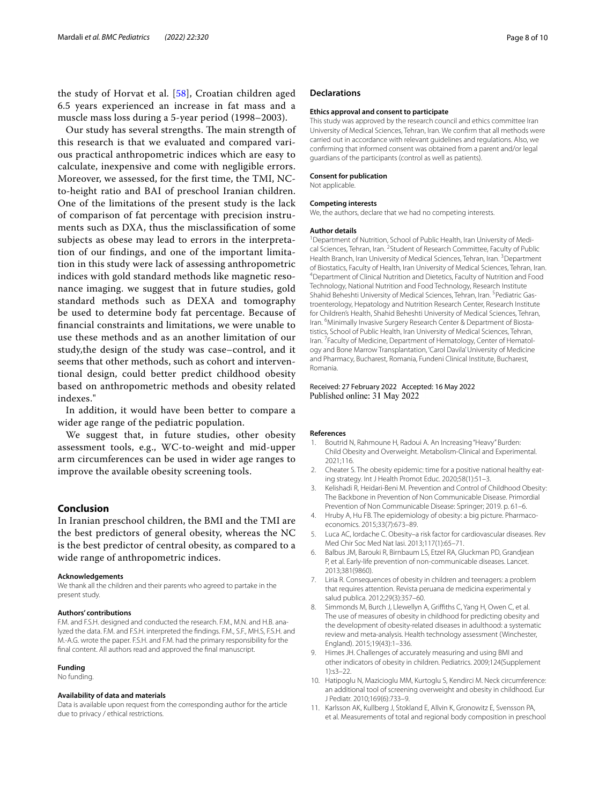the study of Horvat et al. [[58](#page-9-5)], Croatian children aged 6.5 years experienced an increase in fat mass and a muscle mass loss during a 5-year period (1998–2003).

Our study has several strengths. The main strength of this research is that we evaluated and compared various practical anthropometric indices which are easy to calculate, inexpensive and come with negligible errors. Moreover, we assessed, for the frst time, the TMI, NCto-height ratio and BAI of preschool Iranian children. One of the limitations of the present study is the lack of comparison of fat percentage with precision instruments such as DXA, thus the misclassifcation of some subjects as obese may lead to errors in the interpretation of our fndings, and one of the important limitation in this study were lack of assessing anthropometric indices with gold standard methods like magnetic resonance imaging. we suggest that in future studies, gold standard methods such as DEXA and tomography be used to determine body fat percentage. Because of fnancial constraints and limitations, we were unable to use these methods and as an another limitation of our study,the design of the study was case–control, and it seems that other methods, such as cohort and interventional design, could better predict childhood obesity based on anthropometric methods and obesity related indexes."

In addition, it would have been better to compare a wider age range of the pediatric population.

We suggest that, in future studies, other obesity assessment tools, e.g., WC-to-weight and mid-upper arm circumferences can be used in wider age ranges to improve the available obesity screening tools.

## **Conclusion**

In Iranian preschool children, the BMI and the TMI are the best predictors of general obesity, whereas the NC is the best predictor of central obesity, as compared to a wide range of anthropometric indices.

#### **Acknowledgements**

We thank all the children and their parents who agreed to partake in the present study.

## **Authors' contributions**

F.M. and F.S.H. designed and conducted the research. F.M., M.N. and H.B. analyzed the data. F.M. and F.S.H. interpreted the fndings. F.M., S.F., MH.S, F.S.H. and M.-A.G. wrote the paper. F.S.H. and F.M. had the primary responsibility for the fnal content. All authors read and approved the fnal manuscript.

## **Funding**

No funding.

## **Availability of data and materials**

Data is available upon request from the corresponding author for the article due to privacy / ethical restrictions*.*

## **Declarations**

#### **Ethics approval and consent to participate**

This study was approved by the research council and ethics committee Iran University of Medical Sciences, Tehran, Iran. We confrm that all methods were carried out in accordance with relevant guidelines and regulations. Also, we confrming that informed consent was obtained from a parent and/or legal guardians of the participants (control as well as patients).

#### **Consent for publication**

Not applicable.

#### **Competing interests**

We, the authors, declare that we had no competing interests.

#### **Author details**

<sup>1</sup> Department of Nutrition, School of Public Health, Iran University of Medical Sciences, Tehran, Iran. <sup>2</sup> Student of Research Committee, Faculty of Public Health Branch, Iran University of Medical Sciences, Tehran, Iran.<sup>3</sup> Department of Biostatics, Faculty of Health, Iran University of Medical Sciences, Tehran, Iran. 4 <sup>4</sup>Department of Clinical Nutrition and Dietetics, Faculty of Nutrition and Food Technology, National Nutrition and Food Technology, Research Institute Shahid Beheshti University of Medical Sciences, Tehran, Iran. <sup>5</sup> Pediatric Gastroenterology, Hepatology and Nutrition Research Center, Research Institute for Children's Health, Shahid Beheshti University of Medical Sciences, Tehran, Iran. <sup>6</sup> Minimally Invasive Surgery Research Center & Department of Biostatistics, School of Public Health, Iran University of Medical Sciences, Tehran, Iran.<sup>7</sup> Faculty of Medicine, Department of Hematology, Center of Hematology and Bone Marrow Transplantation, 'Carol Davila' University of Medicine and Pharmacy, Bucharest, Romania, Fundeni Clinical Institute, Bucharest, Romania.

## Received: 27 February 2022 Accepted: 16 May 2022 Published online: 31 May 2022

#### **References**

- <span id="page-7-0"></span>1. Boutrid N, Rahmoune H, Radoui A. An Increasing "Heavy" Burden: Child Obesity and Overweight. Metabolism-Clinical and Experimental. 2021;116.
- <span id="page-7-1"></span>2. Cheater S. The obesity epidemic: time for a positive national healthy eating strategy. Int J Health Promot Educ. 2020;58(1):51–3.
- <span id="page-7-2"></span>3. Kelishadi R, Heidari-Beni M. Prevention and Control of Childhood Obesity: The Backbone in Prevention of Non Communicable Disease. Primordial Prevention of Non Communicable Disease: Springer; 2019. p. 61–6.
- <span id="page-7-3"></span>4. Hruby A, Hu FB. The epidemiology of obesity: a big picture. Pharmacoeconomics. 2015;33(7):673–89.
- <span id="page-7-4"></span>5. Luca AC, Iordache C. Obesity–a risk factor for cardiovascular diseases. Rev Med Chir Soc Med Nat Iasi. 2013;117(1):65–71.
- <span id="page-7-5"></span>6. Balbus JM, Barouki R, Birnbaum LS, Etzel RA, Gluckman PD, Grandjean P, et al. Early-life prevention of non-communicable diseases. Lancet. 2013;381(9860).
- <span id="page-7-6"></span>7. Liria R. Consequences of obesity in children and teenagers: a problem that requires attention. Revista peruana de medicina experimental y salud publica. 2012;29(3):357–60.
- <span id="page-7-7"></span>8. Simmonds M, Burch J, Llewellyn A, Griffiths C, Yang H, Owen C, et al. The use of measures of obesity in childhood for predicting obesity and the development of obesity-related diseases in adulthood: a systematic review and meta-analysis. Health technology assessment (Winchester, England). 2015;19(43):1–336.
- 9. Himes JH. Challenges of accurately measuring and using BMI and other indicators of obesity in children. Pediatrics. 2009;124(Supplement 1):s3–22.
- <span id="page-7-8"></span>10. Hatipoglu N, Mazicioglu MM, Kurtoglu S, Kendirci M. Neck circumference: an additional tool of screening overweight and obesity in childhood. Eur J Pediatr. 2010;169(6):733–9.
- <span id="page-7-9"></span>11. Karlsson AK, Kullberg J, Stokland E, Allvin K, Gronowitz E, Svensson PA, et al. Measurements of total and regional body composition in preschool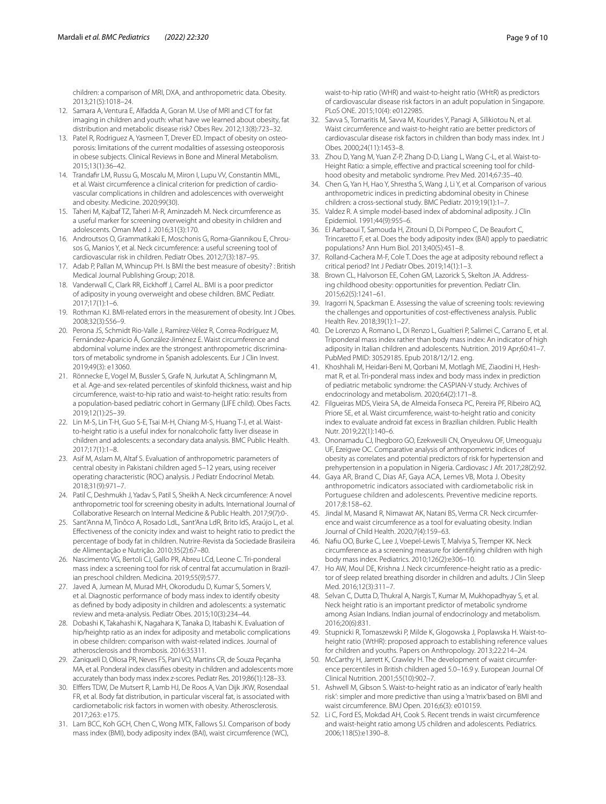children: a comparison of MRI, DXA, and anthropometric data. Obesity. 2013;21(5):1018–24.

- <span id="page-8-0"></span>12. Samara A, Ventura E, Alfadda A, Goran M. Use of MRI and CT for fat imaging in children and youth: what have we learned about obesity, fat distribution and metabolic disease risk? Obes Rev. 2012;13(8):723–32.
- <span id="page-8-1"></span>13. Patel R, Rodriguez A, Yasmeen T, Drever ED. Impact of obesity on osteoporosis: limitations of the current modalities of assessing osteoporosis in obese subjects. Clinical Reviews in Bone and Mineral Metabolism. 2015;13(1):36–42.
- <span id="page-8-2"></span>14. Trandafr LM, Russu G, Moscalu M, Miron I, Lupu VV, Constantin MML, et al. Waist circumference a clinical criterion for prediction of cardiovascular complications in children and adolescences with overweight and obesity. Medicine. 2020;99(30).
- <span id="page-8-3"></span>15. Taheri M, Kajbaf TZ, Taheri M-R, Aminzadeh M. Neck circumference as a useful marker for screening overweight and obesity in children and adolescents. Oman Med J. 2016;31(3):170.
- <span id="page-8-4"></span>16. Androutsos O, Grammatikaki E, Moschonis G, Roma-Giannikou E, Chrousos G, Manios Y, et al. Neck circumference: a useful screening tool of cardiovascular risk in children. Pediatr Obes. 2012;7(3):187–95.
- <span id="page-8-5"></span>17. Adab P, Pallan M, Whincup PH. Is BMI the best measure of obesity? : British Medical Journal Publishing Group; 2018.
- <span id="page-8-6"></span>18. Vanderwall C, Clark RR, Eickhoff J, Carrel AL. BMI is a poor predictor of adiposity in young overweight and obese children. BMC Pediatr. 2017;17(1):1–6.
- <span id="page-8-7"></span>19. Rothman KJ. BMI-related errors in the measurement of obesity. Int J Obes. 2008;32(3):S56–9.
- <span id="page-8-8"></span>20. Perona JS, Schmidt Rio-Valle J, Ramírez-Vélez R, Correa-Rodríguez M, Fernández-Aparicio Á, González-Jiménez E. Waist circumference and abdominal volume index are the strongest anthropometric discriminators of metabolic syndrome in Spanish adolescents. Eur J Clin Invest. 2019;49(3): e13060.
- 21. Rönnecke E, Vogel M, Bussler S, Grafe N, Jurkutat A, Schlingmann M, et al. Age-and sex-related percentiles of skinfold thickness, waist and hip circumference, waist-to-hip ratio and waist-to-height ratio: results from a population-based pediatric cohort in Germany (LIFE child). Obes Facts. 2019;12(1):25–39.
- <span id="page-8-9"></span>22. Lin M-S, Lin T-H, Guo S-E, Tsai M-H, Chiang M-S, Huang T-J, et al. Waistto-height ratio is a useful index for nonalcoholic fatty liver disease in children and adolescents: a secondary data analysis. BMC Public Health. 2017;17(1):1–8.
- <span id="page-8-10"></span>23. Asif M, Aslam M, Altaf S. Evaluation of anthropometric parameters of central obesity in Pakistani children aged 5–12 years, using receiver operating characteristic (ROC) analysis. J Pediatr Endocrinol Metab. 2018;31(9):971–7.
- <span id="page-8-11"></span>24. Patil C, Deshmukh J, Yadav S, Patil S, Sheikh A. Neck circumference: A novel anthropometric tool for screening obesity in adults. International Journal of Collaborative Research on Internal Medicine & Public Health. 2017;9(7):0-.
- <span id="page-8-12"></span>25. Sant'Anna M, Tinôco A, Rosado LdL, Sant'Ana LdR, Brito IdS, Araújo L, et al. Efectiveness of the conicity index and waist to height ratio to predict the percentage of body fat in children. Nutrire-Revista da Sociedade Brasileira de Alimentação e Nutrição. 2010;35(2):67–80.
- <span id="page-8-13"></span>26. Nascimento VG, Bertoli CJ, Gallo PR, Abreu LCd, Leone C. Tri-ponderal mass index: a screening tool for risk of central fat accumulation in Brazilian preschool children. Medicina. 2019;55(9):577.
- <span id="page-8-14"></span>27. Javed A, Jumean M, Murad MH, Okorodudu D, Kumar S, Somers V, et al. Diagnostic performance of body mass index to identify obesity as defned by body adiposity in children and adolescents: a systematic review and meta-analysis. Pediatr Obes. 2015;10(3):234–44.
- <span id="page-8-15"></span>28. Dobashi K, Takahashi K, Nagahara K, Tanaka D, Itabashi K. Evaluation of hip/heightp ratio as an index for adiposity and metabolic complications in obese children: comparison with waist-related indices. Journal of atherosclerosis and thrombosis. 2016:35311.
- <span id="page-8-16"></span>29. Zaniqueli D, Oliosa PR, Neves FS, Pani VO, Martins CR, de Souza Peçanha MA, et al. Ponderal index classifes obesity in children and adolescents more accurately than body mass index z-scores. Pediatr Res. 2019;86(1):128–33.
- <span id="page-8-17"></span>30. Elfers TDW, De Mutsert R, Lamb HJ, De Roos A, Van Dijk JKW, Rosendaal FR, et al. Body fat distribution, in particular visceral fat, is associated with cardiometabolic risk factors in women with obesity. Atherosclerosis. 2017;263: e175.
- <span id="page-8-18"></span>31. Lam BCC, Koh GCH, Chen C, Wong MTK, Fallows SJ. Comparison of body mass index (BMI), body adiposity index (BAI), waist circumference (WC),

waist-to-hip ratio (WHR) and waist-to-height ratio (WHtR) as predictors of cardiovascular disease risk factors in an adult population in Singapore. PLoS ONE. 2015;10(4): e0122985.

- <span id="page-8-19"></span>32. Savva S, Tornaritis M, Savva M, Kourides Y, Panagi A, Silikiotou N, et al. Waist circumference and waist-to-height ratio are better predictors of cardiovascular disease risk factors in children than body mass index. Int J Obes. 2000;24(11):1453–8.
- <span id="page-8-20"></span>33. Zhou D, Yang M, Yuan Z-P, Zhang D-D, Liang L, Wang C-L, et al. Waist-to-Height Ratio: a simple, effective and practical screening tool for childhood obesity and metabolic syndrome. Prev Med. 2014;67:35–40.
- <span id="page-8-21"></span>34. Chen G, Yan H, Hao Y, Shrestha S, Wang J, Li Y, et al. Comparison of various anthropometric indices in predicting abdominal obesity in Chinese children: a cross-sectional study. BMC Pediatr. 2019;19(1):1–7.
- <span id="page-8-22"></span>35. Valdez R. A simple model-based index of abdominal adiposity. J Clin Epidemiol. 1991;44(9):955–6.
- <span id="page-8-23"></span>36. El Aarbaoui T, Samouda H, Zitouni D, Di Pompeo C, De Beaufort C, Trincaretto F, et al. Does the body adiposity index (BAI) apply to paediatric populations? Ann Hum Biol. 2013;40(5):451–8.
- <span id="page-8-24"></span>37. Rolland-Cachera M-F, Cole T. Does the age at adiposity rebound refect a critical period? Int J Pediatr Obes. 2019;14(1):1–3.
- <span id="page-8-25"></span>38. Brown CL, Halvorson EE, Cohen GM, Lazorick S, Skelton JA. Addressing childhood obesity: opportunities for prevention. Pediatr Clin. 2015;62(5):1241–61.
- <span id="page-8-26"></span>39. Iragorri N, Spackman E. Assessing the value of screening tools: reviewing the challenges and opportunities of cost-efectiveness analysis. Public Health Rev. 2018;39(1):1–27.
- <span id="page-8-27"></span>40. De Lorenzo A, Romano L, Di Renzo L, Gualtieri P, Salimei C, Carrano E, et al. Triponderal mass index rather than body mass index: An indicator of high adiposity in Italian children and adolescents. Nutrition. 2019 Apr;60:41–7. PubMed PMID: 30529185. Epub 2018/12/12. eng.
- <span id="page-8-28"></span>41. Khoshhali M, Heidari-Beni M, Qorbani M, Motlagh ME, Ziaodini H, Heshmat R, et al. Tri-ponderal mass index and body mass index in prediction of pediatric metabolic syndrome: the CASPIAN-V study. Archives of endocrinology and metabolism. 2020;64(2):171–8.
- <span id="page-8-29"></span>42. Filgueiras MDS, Vieira SA, de Almeida Fonseca PC, Pereira PF, Ribeiro AQ, Priore SE, et al. Waist circumference, waist-to-height ratio and conicity index to evaluate android fat excess in Brazilian children. Public Health Nutr. 2019;22(1):140–6.
- <span id="page-8-30"></span>43. Ononamadu CJ, Ihegboro GO, Ezekwesili CN, Onyeukwu OF, Umeoguaju UF, Ezeigwe OC. Comparative analysis of anthropometric indices of obesity as correlates and potential predictors of risk for hypertension and prehypertension in a population in Nigeria. Cardiovasc J Afr. 2017;28(2):92.
- <span id="page-8-31"></span>44. Gaya AR, Brand C, Dias AF, Gaya ACA, Lemes VB, Mota J. Obesity anthropometric indicators associated with cardiometabolic risk in Portuguese children and adolescents. Preventive medicine reports. 2017;8:158–62.
- <span id="page-8-32"></span>45. Jindal M, Masand R, Nimawat AK, Natani BS, Verma CR. Neck circumference and waist circumference as a tool for evaluating obesity. Indian Journal of Child Health. 2020;7(4):159–63.
- <span id="page-8-33"></span>46. Nafu OO, Burke C, Lee J, Voepel-Lewis T, Malviya S, Tremper KK. Neck circumference as a screening measure for identifying children with high body mass index. Pediatrics. 2010;126(2):e306–10.
- <span id="page-8-34"></span>47. Ho AW, Moul DE, Krishna J. Neck circumference-height ratio as a predictor of sleep related breathing disorder in children and adults. J Clin Sleep Med. 2016;12(3):311–7.
- <span id="page-8-35"></span>48. Selvan C, Dutta D, Thukral A, Nargis T, Kumar M, Mukhopadhyay S, et al. Neck height ratio is an important predictor of metabolic syndrome among Asian Indians. Indian journal of endocrinology and metabolism. 2016;20(6):831.
- <span id="page-8-36"></span>49. Stupnicki R, Tomaszewski P, Milde K, Glogowska J, Poplawska H. Waist-toheight ratio (WtHR): proposed approach to establishing reference values for children and youths. Papers on Anthropology. 2013;22:214–24.
- <span id="page-8-37"></span>50. McCarthy H, Jarrett K, Crawley H. The development of waist circumference percentiles in British children aged 5.0–16.9 y. European Journal Of Clinical Nutrition. 2001;55(10):902–7.
- <span id="page-8-38"></span>51. Ashwell M, Gibson S. Waist-to-height ratio as an indicator of 'early health risk': simpler and more predictive than using a 'matrix'based on BMI and waist circumference. BMJ Open. 2016;6(3): e010159.
- <span id="page-8-39"></span>52. Li C, Ford ES, Mokdad AH, Cook S. Recent trends in waist circumference and waist-height ratio among US children and adolescents. Pediatrics. 2006;118(5):e1390–8.